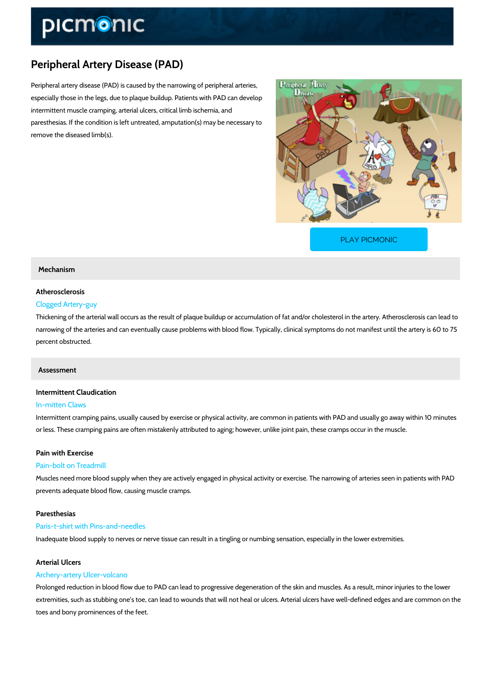# Peripheral Artery Disease (PAD)

Peripheral artery disease (PAD) is caused by the narrowing of peripheral arteries, especially those in the legs, due to plaque buildup. Patients with PAD can develop intermittent muscle cramping, arterial ulcers, critical limb ischemia, and paresthesias. If the condition is left untreated, amputation(s) may be necessary to remove the diseased limb(s).

[PLAY PICMONIC](https://www.picmonic.com/learn/peripheral-artery-disease-pad_2040?utm_source=downloadable_content&utm_medium=distributedcontent&utm_campaign=pathways_pdf&utm_content=Peripheral Artery Disease (PAD)&utm_ad_group=leads&utm_market=all)

# Mechanism

# Atherosclerosis Clogged Artery-guy

# Thickening of the arterial wall occurs as the result of plaque buildup or accumulation of fat a narrowing of the arteries and can eventually cause problems with blood flow. Typically, clinic percent obstructed.

#### Assessment

# Intermittent Claudication

## In-mitten Claws

Intermittent cramping pains, usually caused by exercise or physical activity, are common in patients with D or less. These cramping pains are often mistakenly attributed to aging; however, unlike joint

# Pain with Exercise

#### Pain-bolt on Treadmill

Muscles need more blood supply when they are actively engaged in physical activity or exerci prevents adequate blood flow, causing muscle cramps.

#### Paresthesias

#### Paris-t-shirt with Pins-and-needles

Inadequate blood supply to nerves or nerve tissue can result in a tingling or numbing sensation

## Arterial Ulcers

# Archery-artery Ulcer-volcano

Prolonged reduction in blood flow due to PAD can lead to progressive degeneration of the skin extremities, such as stubbing one s toe, can lead to wounds that will not heal or ulcers. Arter toes and bony prominences of the feet.